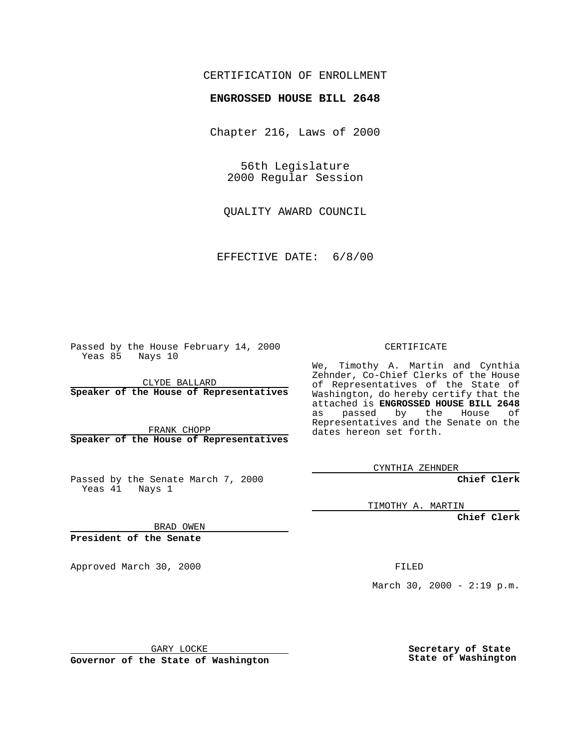## CERTIFICATION OF ENROLLMENT

## **ENGROSSED HOUSE BILL 2648**

Chapter 216, Laws of 2000

56th Legislature 2000 Regular Session

QUALITY AWARD COUNCIL

EFFECTIVE DATE: 6/8/00

Passed by the House February 14, 2000 Yeas 85 Nays 10

CLYDE BALLARD **Speaker of the House of Representatives**

FRANK CHOPP **Speaker of the House of Representatives**

Passed by the Senate March 7, 2000 Yeas 41 Nays 1

CERTIFICATE

We, Timothy A. Martin and Cynthia Zehnder, Co-Chief Clerks of the House of Representatives of the State of Washington, do hereby certify that the attached is **ENGROSSED HOUSE BILL 2648** as passed by the House of Representatives and the Senate on the dates hereon set forth.

CYNTHIA ZEHNDER

**Chief Clerk**

TIMOTHY A. MARTIN

**Chief Clerk**

BRAD OWEN

**President of the Senate**

Approved March 30, 2000 FILED

March 30, 2000 -  $2:19$  p.m.

GARY LOCKE

**Governor of the State of Washington**

**Secretary of State State of Washington**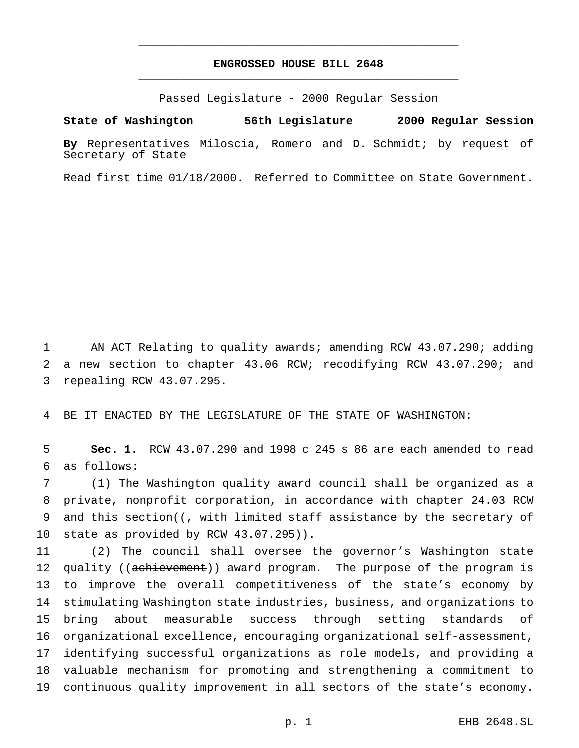## **ENGROSSED HOUSE BILL 2648** \_\_\_\_\_\_\_\_\_\_\_\_\_\_\_\_\_\_\_\_\_\_\_\_\_\_\_\_\_\_\_\_\_\_\_\_\_\_\_\_\_\_\_\_\_\_\_

\_\_\_\_\_\_\_\_\_\_\_\_\_\_\_\_\_\_\_\_\_\_\_\_\_\_\_\_\_\_\_\_\_\_\_\_\_\_\_\_\_\_\_\_\_\_\_

Passed Legislature - 2000 Regular Session

**State of Washington 56th Legislature 2000 Regular Session**

**By** Representatives Miloscia, Romero and D. Schmidt; by request of Secretary of State

Read first time 01/18/2000. Referred to Committee on State Government.

1 AN ACT Relating to quality awards; amending RCW 43.07.290; adding 2 a new section to chapter 43.06 RCW; recodifying RCW 43.07.290; and 3 repealing RCW 43.07.295.

4 BE IT ENACTED BY THE LEGISLATURE OF THE STATE OF WASHINGTON:

5 **Sec. 1.** RCW 43.07.290 and 1998 c 245 s 86 are each amended to read 6 as follows:

7 (1) The Washington quality award council shall be organized as a 8 private, nonprofit corporation, in accordance with chapter 24.03 RCW 9 and this section( $\left(\frac{1}{f} + \frac{1}{f} + \frac{1}{f}\right)$  and this secretary of 10 state as provided by RCW 43.07.295)).

 (2) The council shall oversee the governor's Washington state 12 quality ((achievement)) award program. The purpose of the program is to improve the overall competitiveness of the state's economy by stimulating Washington state industries, business, and organizations to bring about measurable success through setting standards of organizational excellence, encouraging organizational self-assessment, identifying successful organizations as role models, and providing a valuable mechanism for promoting and strengthening a commitment to continuous quality improvement in all sectors of the state's economy.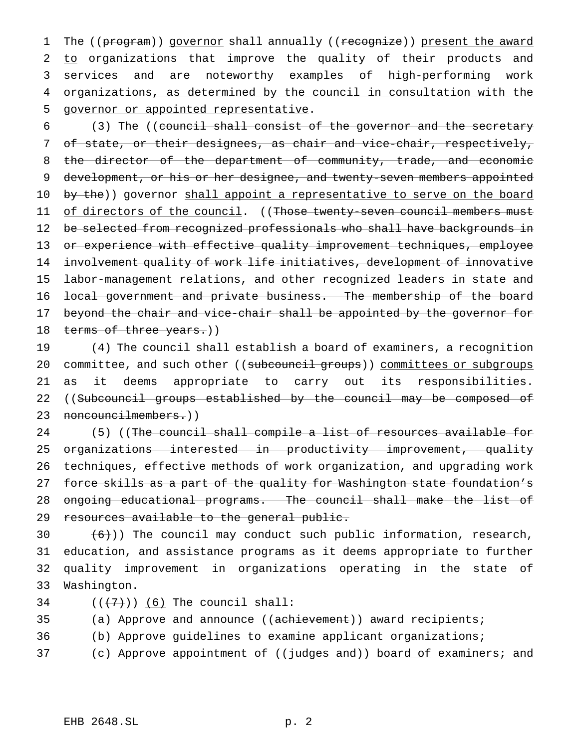1 The ((program)) governor shall annually ((recognize)) present the award 2 to organizations that improve the quality of their products and 3 services and are noteworthy examples of high-performing work 4 organizations, as determined by the council in consultation with the 5 governor or appointed representative.

6 (3) The ((council shall consist of the governor and the secretary 7 of state, or their designees, as chair and vice-chair, respectively, 8 the director of the department of community, trade, and economic 9 development, or his or her designee, and twenty-seven members appointed 10 by the)) governor shall appoint a representative to serve on the board 11 of directors of the council. ((Those twenty-seven council members must 12 be selected from recognized professionals who shall have backgrounds in 13 or experience with effective quality improvement techniques, employee 14 involvement quality of work life initiatives, development of innovative 15 labor-management relations, and other recognized leaders in state and 16 local government and private business. The membership of the board 17 beyond the chair and vice-chair shall be appointed by the governor for 18 terms of three years.))

19 (4) The council shall establish a board of examiners, a recognition 20 committee, and such other ((subcouncil groups)) committees or subgroups 21 as it deems appropriate to carry out its responsibilities. 22 ((Subcouncil groups established by the council may be composed of 23 noncouncilmembers.))

24 (5) ((The council shall compile a list of resources available for 25 organizations interested in productivity improvement, quality 26 techniques, effective methods of work organization, and upgrading work 27 force skills as a part of the quality for Washington state foundation's 28 ongoing educational programs. The council shall make the list of 29 resources available to the general public.

 $(6)$ )) The council may conduct such public information, research, education, and assistance programs as it deems appropriate to further quality improvement in organizations operating in the state of Washington.

34  $((+7))$  (6) The council shall:

35 (a) Approve and announce ((achievement)) award recipients;

- 36 (b) Approve guidelines to examine applicant organizations;
- 37 (c) Approve appointment of (( $\frac{1}{1}$ udges and)) board of examiners; and